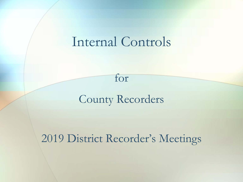## Internal Controls

### County Recorders

for

#### 2019 District Recorder's Meetings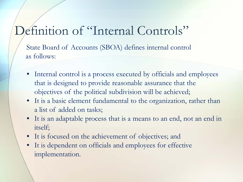### Definition of "Internal Controls"

State Board of Accounts (SBOA) defines internal control as follows:

- Internal control is a process executed by officials and employees that is designed to provide reasonable assurance that the objectives of the political subdivision will be achieved;
- It is a basic element fundamental to the organization, rather than a list of added on tasks;
- It is an adaptable process that is a means to an end, not an end in itself;
- It is focused on the achievement of objectives; and
- It is dependent on officials and employees for effective implementation.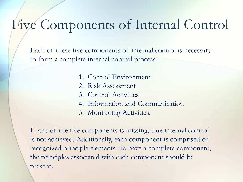## Five Components of Internal Control

Each of these five components of internal control is necessary to form a complete internal control process.

- 1. Control Environment
- 2. Risk Assessment
- 3. Control Activities
- 4. Information and Communication
- 5. Monitoring Activities.

If any of the five components is missing, true internal control is not achieved. Additionally, each component is comprised of recognized principle elements. To have a complete component, the principles associated with each component should be present.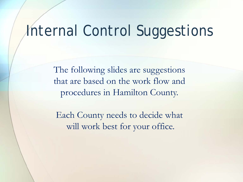# Internal Control Suggestions

The following slides are suggestions that are based on the work flow and procedures in Hamilton County.

Each County needs to decide what will work best for your office.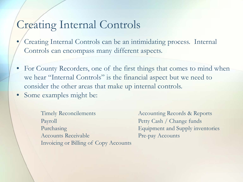#### Creating Internal Controls

- Creating Internal Controls can be an intimidating process. Internal Controls can encompass many different aspects.
- For County Recorders, one of the first things that comes to mind when we hear "Internal Controls" is the financial aspect but we need to consider the other areas that make up internal controls.
- Some examples might be:
	- Timely Reconcilements Accounting Records & Reports Payroll Payroll Petty Cash / Change funds Purchasing Equipment and Supply inventories Accounts Receivable Pre-pay Accounts Invoicing or Billing of Copy Accounts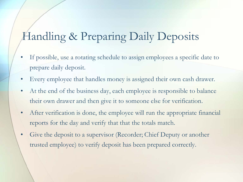## Handling & Preparing Daily Deposits

- If possible, use a rotating schedule to assign employees a specific date to prepare daily deposit.
- Every employee that handles money is assigned their own cash drawer.
- At the end of the business day, each employee is responsible to balance their own drawer and then give it to someone else for verification.
- After verification is done, the employee will run the appropriate financial reports for the day and verify that that the totals match.
- Give the deposit to a supervisor (Recorder; Chief Deputy or another trusted employee) to verify deposit has been prepared correctly.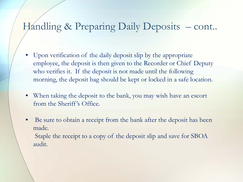#### Handling & Preparing Daily Deposits - cont..

- Upon verification of the daily deposit slip by the appropriate employee, the deposit is then given to the Recorder or Chief Deputy who verifies it. If the deposit is not made until the following morning, the deposit bag should be kept or locked in a safe location.
- When taking the deposit to the bank, you may wish have an escort from the Sheriff 's Office.
- Be sure to obtain a receipt from the bank after the deposit has been made. Staple the receipt to a copy of the deposit slip and save for SBOA audit.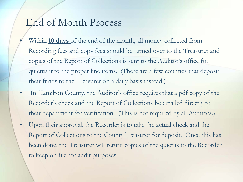#### End of Month Process

- Within **10 days** of the end of the month, all money collected from Recording fees and copy fees should be turned over to the Treasurer and copies of the Report of Collections is sent to the Auditor's office for quietus into the proper line items. (There are a few counties that deposit their funds to the Treasurer on a daily basis instead.)
- In Hamilton County, the Auditor's office requires that a pdf copy of the Recorder's check and the Report of Collections be emailed directly to their department for verification. (This is not required by all Auditors.)
- Upon their approval, the Recorder is to take the actual check and the Report of Collections to the County Treasurer for deposit. Once this has been done, the Treasurer will return copies of the quietus to the Recorder to keep on file for audit purposes.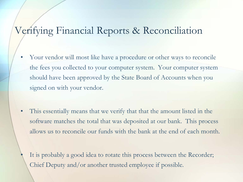#### Verifying Financial Reports & Reconciliation

- Your vendor will most like have a procedure or other ways to reconcile the fees you collected to your computer system. Your computer system should have been approved by the State Board of Accounts when you signed on with your vendor.
- This essentially means that we verify that that the amount listed in the software matches the total that was deposited at our bank. This process allows us to reconcile our funds with the bank at the end of each month.
	- It is probably a good idea to rotate this process between the Recorder; Chief Deputy and/or another trusted employee if possible.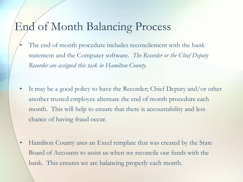#### End of Month Balancing Process

- The end of month procedure includes reconcilement with the bank statement and the Computer software. *The Recorder or the Chief Deputy Recorder are assigned this task in Hamilton County.*
- It may be a good policy to have the Recorder; Chief Deputy and/or other another trusted employee alternate the end of month procedure each month. This will help to ensure that there is accountability and less chance of having fraud occur.
- Hamilton County uses an Excel template that was created by the State Board of Accounts to assist us when we reconcile our funds with the bank. This ensures we are balancing properly each month.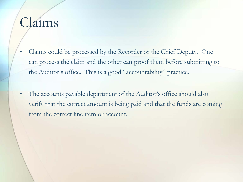# Claims

- Claims could be processed by the Recorder or the Chief Deputy. One can process the claim and the other can proof them before submitting to the Auditor's office. This is a good "accountability" practice.
- The accounts payable department of the Auditor's office should also verify that the correct amount is being paid and that the funds are coming from the correct line item or account.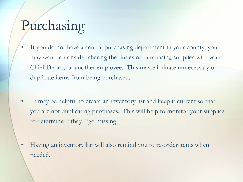## Purchasing

- If you do not have a central purchasing department in your county, you may want to consider sharing the duties of purchasing supplies with your Chief Deputy or another employee. This may eliminate unnecessary or duplicate items from being purchased.
- It may be helpful to create an inventory list and keep it current so that you are not duplicating purchases. This will help to monitor your supplies to determine if they "go missing".

• Having an inventory list will also remind you to re-order items when needed.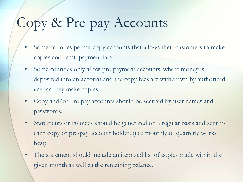# Copy & Pre-pay Accounts

- Some counties permit copy accounts that allows their customers to make copies and remit payment later.
- Some counties only allow pre-payment accounts, where money is deposited into an account and the copy fees are withdrawn by authorized user as they make copies.
- Copy and/or Pre-pay accounts should be secured by user names and passwords.
- Statements or invoices should be generated on a regular basis and sent to each copy or pre-pay account holder. (i.e.: monthly or quarterly works best)
- The statement should include an itemized list of copies made within the given month as well as the remaining balance.